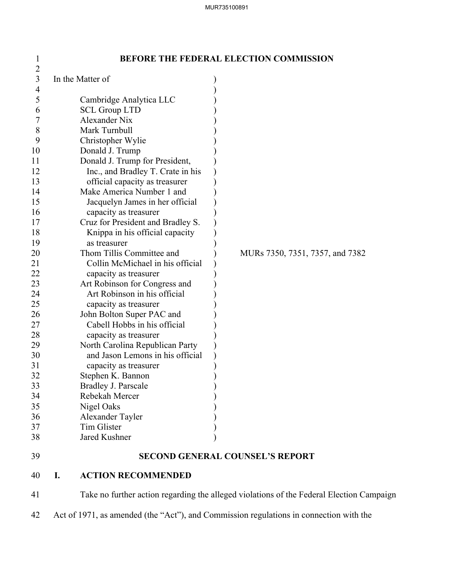| $\mathbf{I}$   |                                   | BEFORE THE FEDERAL ELECTION COMMISSION |
|----------------|-----------------------------------|----------------------------------------|
| $\overline{2}$ |                                   |                                        |
| 3              | In the Matter of                  |                                        |
| 4              |                                   |                                        |
| 5              | Cambridge Analytica LLC           |                                        |
| 6              | <b>SCL Group LTD</b>              |                                        |
| 7              | <b>Alexander Nix</b>              |                                        |
| 8              | Mark Turnbull                     |                                        |
| 9              | Christopher Wylie                 |                                        |
| 10             | Donald J. Trump                   |                                        |
| 11             | Donald J. Trump for President,    |                                        |
| 12             | Inc., and Bradley T. Crate in his |                                        |
| 13             | official capacity as treasurer    |                                        |
| 14             | Make America Number 1 and         |                                        |
| 15             | Jacquelyn James in her official   |                                        |
| 16             | capacity as treasurer             |                                        |
| 17             | Cruz for President and Bradley S. |                                        |
| 18             | Knippa in his official capacity   |                                        |
| 19             | as treasurer                      |                                        |
| 20             | Thom Tillis Committee and         | MURs 7350, 7351, 7357, and 7382        |
| 21             | Collin McMichael in his official  |                                        |
| 22             | capacity as treasurer             |                                        |
| 23             | Art Robinson for Congress and     |                                        |
| 24             | Art Robinson in his official      |                                        |
| 25             | capacity as treasurer             |                                        |
| 26             | John Bolton Super PAC and         |                                        |
| 27             | Cabell Hobbs in his official      |                                        |
| 28             | capacity as treasurer             |                                        |
| 29             | North Carolina Republican Party   |                                        |
| 30             | and Jason Lemons in his official  |                                        |
| 31             | capacity as treasurer             |                                        |
| 32             | Stephen K. Bannon                 |                                        |
| 33             | Bradley J. Parscale               |                                        |
| 34             | Rebekah Mercer                    |                                        |
| 35             | Nigel Oaks                        |                                        |
| 36             | Alexander Tayler                  |                                        |
| 37             | Tim Glister                       |                                        |
| 38             | Jared Kushner                     |                                        |
| 39             |                                   | <b>SECOND GENERAL COUNSEL'S REPORT</b> |
| 40             | <b>ACTION RECOMMENDED</b>         |                                        |

# 1 **BEFORE THE FEDERAL ELECTION COMMISSION**

40 **I. ACTION RECOMMENDED** 

41 Take no further action regarding the alleged violations of the Federal Election Campaign

42 Act of 1971, as amended (the "Act"), and Commission regulations in connection with the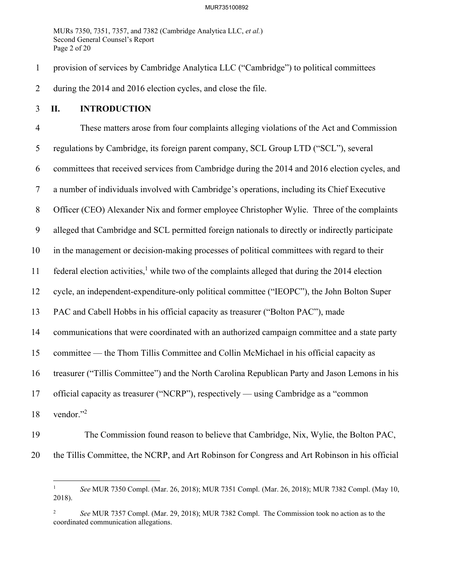MURs 7350, 7351, 7357, and 7382 (Cambridge Analytica LLC, *et al.*) Second General Counsel's Report Page 2 of 20

1 provision of services by Cambridge Analytica LLC ("Cambridge") to political committees 2 during the 2014 and 2016 election cycles, and close the file.

### 3 **II. INTRODUCTION**

4 These matters arose from four complaints alleging violations of the Act and Commission 5 regulations by Cambridge, its foreign parent company, SCL Group LTD ("SCL"), several 6 committees that received services from Cambridge during the 2014 and 2016 election cycles, and 7 a number of individuals involved with Cambridge's operations, including its Chief Executive 8 Officer (CEO) Alexander Nix and former employee Christopher Wylie. Three of the complaints 9 alleged that Cambridge and SCL permitted foreign nationals to directly or indirectly participate 10 in the management or decision-making processes of political committees with regard to their 11 federal election activities,<sup>1</sup> while two of the complaints alleged that during the 2014 election 12 cycle, an independent-expenditure-only political committee ("IEOPC"), the John Bolton Super 13 PAC and Cabell Hobbs in his official capacity as treasurer ("Bolton PAC"), made 14 communications that were coordinated with an authorized campaign committee and a state party 15 committee — the Thom Tillis Committee and Collin McMichael in his official capacity as 16 treasurer ("Tillis Committee") and the North Carolina Republican Party and Jason Lemons in his 17 official capacity as treasurer ("NCRP"), respectively — using Cambridge as a "common 18 vendor."<sup>2</sup>

19 The Commission found reason to believe that Cambridge, Nix, Wylie, the Bolton PAC, 20 the Tillis Committee, the NCRP, and Art Robinson for Congress and Art Robinson in his official

<sup>1</sup> *See* MUR 7350 Compl. (Mar. 26, 2018); MUR 7351 Compl. (Mar. 26, 2018); MUR 7382 Compl. (May 10, 2018).

<sup>2</sup> *See* MUR 7357 Compl. (Mar. 29, 2018); MUR 7382 Compl. The Commission took no action as to the coordinated communication allegations.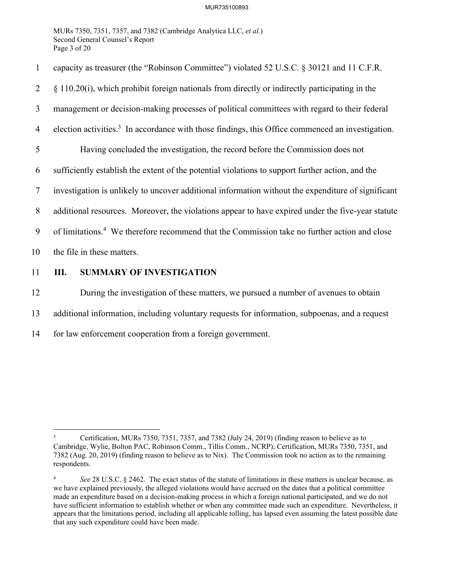MURs 7350, 7351, 7357, and 7382 (Cambridge Analytica LLC, *et al.*) Second General Counsel's Report Page 3 of 20

1 capacity as treasurer (the "Robinson Committee") violated 52 U.S.C. § 30121 and 11 C.F.R. 2 § 110.20(i), which prohibit foreign nationals from directly or indirectly participating in the 3 management or decision-making processes of political committees with regard to their federal 4 election activities.<sup>3</sup> In accordance with those findings, this Office commenced an investigation. 5 Having concluded the investigation, the record before the Commission does not 6 sufficiently establish the extent of the potential violations to support further action, and the 7 investigation is unlikely to uncover additional information without the expenditure of significant 8 additional resources. Moreover, the violations appear to have expired under the five-year statute 9 of limitations.<sup>4</sup> We therefore recommend that the Commission take no further action and close 10 the file in these matters.

### 11 **III. SUMMARY OF INVESTIGATION**

12 During the investigation of these matters, we pursued a number of avenues to obtain

- 13 additional information, including voluntary requests for information, subpoenas, and a request
- 14 for law enforcement cooperation from a foreign government.

<sup>3</sup> Certification, MURs 7350, 7351, 7357, and 7382 (July 24, 2019) (finding reason to believe as to Cambridge, Wylie, Bolton PAC, Robinson Comm., Tillis Comm., NCRP); Certification, MURs 7350, 7351, and 7382 (Aug. 20, 2019) (finding reason to believe as to Nix). The Commission took no action as to the remaining respondents.

<sup>4</sup> *See* 28 U.S.C. § 2462. The exact status of the statute of limitations in these matters is unclear because, as we have explained previously, the alleged violations would have accrued on the dates that a political committee made an expenditure based on a decision-making process in which a foreign national participated, and we do not have sufficient information to establish whether or when any committee made such an expenditure. Nevertheless, it appears that the limitations period, including all applicable tolling, has lapsed even assuming the latest possible date that any such expenditure could have been made.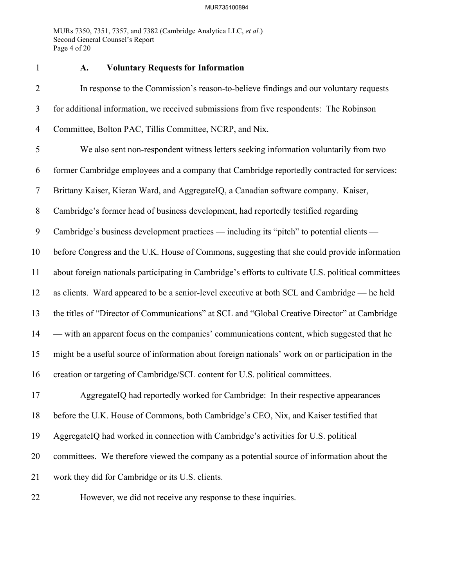MURs 7350, 7351, 7357, and 7382 (Cambridge Analytica LLC, *et al.*) Second General Counsel's Report Page 4 of 20

### 1 **A. Voluntary Requests for Information**

2 In response to the Commission's reason-to-believe findings and our voluntary requests 3 for additional information, we received submissions from five respondents: The Robinson 4 Committee, Bolton PAC, Tillis Committee, NCRP, and Nix. 5 We also sent non-respondent witness letters seeking information voluntarily from two 6 former Cambridge employees and a company that Cambridge reportedly contracted for services: 7 Brittany Kaiser, Kieran Ward, and AggregateIQ, a Canadian software company. Kaiser, 8 Cambridge's former head of business development, had reportedly testified regarding 9 Cambridge's business development practices — including its "pitch" to potential clients — 10 before Congress and the U.K. House of Commons, suggesting that she could provide information 11 about foreign nationals participating in Cambridge's efforts to cultivate U.S. political committees 12 as clients. Ward appeared to be a senior-level executive at both SCL and Cambridge — he held 13 the titles of "Director of Communications" at SCL and "Global Creative Director" at Cambridge 14 — with an apparent focus on the companies' communications content, which suggested that he 15 might be a useful source of information about foreign nationals' work on or participation in the 16 creation or targeting of Cambridge/SCL content for U.S. political committees. 17 AggregateIQ had reportedly worked for Cambridge: In their respective appearances 18 before the U.K. House of Commons, both Cambridge's CEO, Nix, and Kaiser testified that

19 AggregateIQ had worked in connection with Cambridge's activities for U.S. political

20 committees. We therefore viewed the company as a potential source of information about the

21 work they did for Cambridge or its U.S. clients.

22 However, we did not receive any response to these inquiries.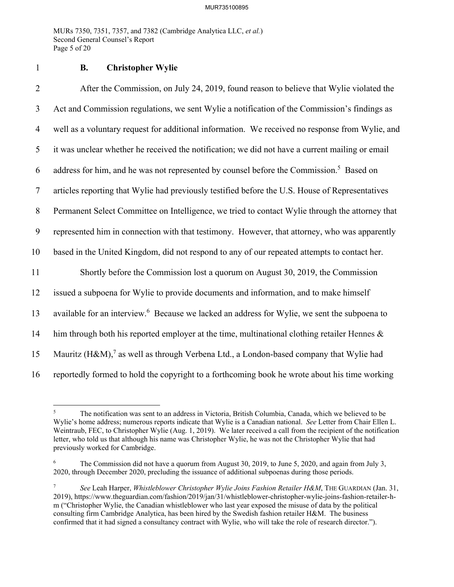MURs 7350, 7351, 7357, and 7382 (Cambridge Analytica LLC, *et al.*) Second General Counsel's Report Page 5 of 20

1 **B. Christopher Wylie** 

2 After the Commission, on July 24, 2019, found reason to believe that Wylie violated the 3 Act and Commission regulations, we sent Wylie a notification of the Commission's findings as 4 well as a voluntary request for additional information. We received no response from Wylie, and 5 it was unclear whether he received the notification; we did not have a current mailing or email 6 address for him, and he was not represented by counsel before the Commission.<sup>5</sup> Based on 7 articles reporting that Wylie had previously testified before the U.S. House of Representatives 8 Permanent Select Committee on Intelligence, we tried to contact Wylie through the attorney that 9 represented him in connection with that testimony. However, that attorney, who was apparently 10 based in the United Kingdom, did not respond to any of our repeated attempts to contact her. 11 Shortly before the Commission lost a quorum on August 30, 2019, the Commission 12 issued a subpoena for Wylie to provide documents and information, and to make himself 13 available for an interview.<sup>6</sup> Because we lacked an address for Wylie, we sent the subpoena to 14 him through both his reported employer at the time, multinational clothing retailer Hennes  $\&$ 15 Mauritz  $(H\&M)$ ,<sup>7</sup> as well as through Verbena Ltd., a London-based company that Wylie had 16 reportedly formed to hold the copyright to a forthcoming book he wrote about his time working

<sup>5</sup> The notification was sent to an address in Victoria, British Columbia, Canada, which we believed to be Wylie's home address; numerous reports indicate that Wylie is a Canadian national. *See* Letter from Chair Ellen L. Weintraub, FEC, to Christopher Wylie (Aug. 1, 2019). We later received a call from the recipient of the notification letter, who told us that although his name was Christopher Wylie, he was not the Christopher Wylie that had previously worked for Cambridge.

<sup>6</sup> The Commission did not have a quorum from August 30, 2019, to June 5, 2020, and again from July 3, 2020, through December 2020, precluding the issuance of additional subpoenas during those periods.

<sup>7</sup> *See* Leah Harper, *Whistleblower Christopher Wylie Joins Fashion Retailer H&M*, THE GUARDIAN (Jan. 31, 2019), https://www.theguardian.com/fashion/2019/jan/31/whistleblower-christopher-wylie-joins-fashion-retailer-hm ("Christopher Wylie, the Canadian whistleblower who last year exposed the misuse of data by the political consulting firm Cambridge Analytica, has been hired by the Swedish fashion retailer H&M. The business confirmed that it had signed a consultancy contract with Wylie, who will take the role of research director.").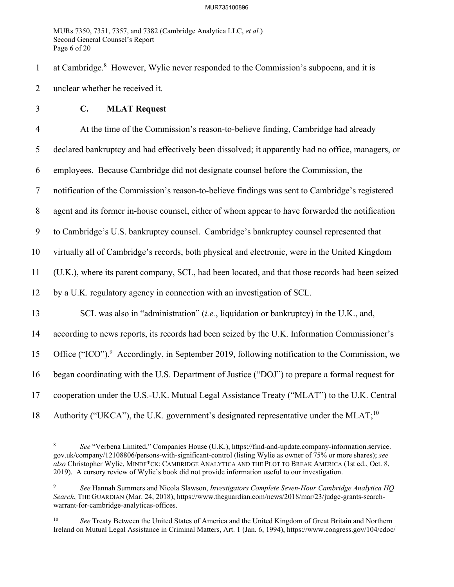MURs 7350, 7351, 7357, and 7382 (Cambridge Analytica LLC, *et al.*) Second General Counsel's Report Page 6 of 20

1 at Cambridge.<sup>8</sup> However, Wylie never responded to the Commission's subpoena, and it is 2 unclear whether he received it.

3 **C. MLAT Request** 

4 At the time of the Commission's reason-to-believe finding, Cambridge had already 5 declared bankruptcy and had effectively been dissolved; it apparently had no office, managers, or 6 employees. Because Cambridge did not designate counsel before the Commission, the 7 notification of the Commission's reason-to-believe findings was sent to Cambridge's registered 8 agent and its former in-house counsel, either of whom appear to have forwarded the notification 9 to Cambridge's U.S. bankruptcy counsel. Cambridge's bankruptcy counsel represented that 10 virtually all of Cambridge's records, both physical and electronic, were in the United Kingdom 11 (U.K.), where its parent company, SCL, had been located, and that those records had been seized 12 by a U.K. regulatory agency in connection with an investigation of SCL. 13 SCL was also in "administration" (*i.e.*, liquidation or bankruptcy) in the U.K., and, 14 according to news reports, its records had been seized by the U.K. Information Commissioner's 15 Office ("ICO").<sup>9</sup> Accordingly, in September 2019, following notification to the Commission, we 16 began coordinating with the U.S. Department of Justice ("DOJ") to prepare a formal request for 17 cooperation under the U.S.-U.K. Mutual Legal Assistance Treaty ("MLAT") to the U.K. Central 18 Authority ("UKCA"), the U.K. government's designated representative under the MLAT;<sup>10</sup>

<sup>8</sup> *See* "Verbena Limited," Companies House (U.K.), https://find-and-update.company-information.service. gov.uk/company/12108806/persons-with-significant-control (listing Wylie as owner of 75% or more shares); *see also* Christopher Wylie, MINDF\*CK: CAMBRIDGE ANALYTICA AND THE PLOT TO BREAK AMERICA (1st ed., Oct. 8, 2019). A cursory review of Wylie's book did not provide information useful to our investigation.

<sup>9</sup> *See* Hannah Summers and Nicola Slawson, *Investigators Complete Seven-Hour Cambridge Analytica HQ Search*, THE GUARDIAN (Mar. 24, 2018), https://www.theguardian.com/news/2018/mar/23/judge-grants-searchwarrant-for-cambridge-analyticas-offices.

<sup>&</sup>lt;sup>10</sup> *See* Treaty Between the United States of America and the United Kingdom of Great Britain and Northern Ireland on Mutual Legal Assistance in Criminal Matters, Art. 1 (Jan. 6, 1994), https://www.congress.gov/104/cdoc/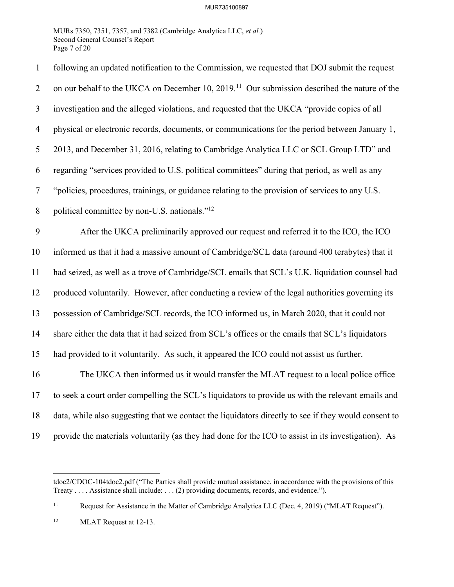MURs 7350, 7351, 7357, and 7382 (Cambridge Analytica LLC, *et al.*) Second General Counsel's Report Page 7 of 20

| $\mathbf{1}$   | following an updated notification to the Commission, we requested that DOJ submit the request            |
|----------------|----------------------------------------------------------------------------------------------------------|
| $\overline{2}$ | on our behalf to the UKCA on December 10, 2019. <sup>11</sup> Our submission described the nature of the |
| 3              | investigation and the alleged violations, and requested that the UKCA "provide copies of all             |
| $\overline{4}$ | physical or electronic records, documents, or communications for the period between January 1,           |
| 5              | 2013, and December 31, 2016, relating to Cambridge Analytica LLC or SCL Group LTD" and                   |
| 6              | regarding "services provided to U.S. political committees" during that period, as well as any            |
| $\tau$         | "policies, procedures, trainings, or guidance relating to the provision of services to any U.S.          |
| 8              | political committee by non-U.S. nationals." <sup>12</sup>                                                |
| 9              | After the UKCA preliminarily approved our request and referred it to the ICO, the ICO                    |
| 10             | informed us that it had a massive amount of Cambridge/SCL data (around 400 terabytes) that it            |
| 11             | had seized, as well as a trove of Cambridge/SCL emails that SCL's U.K. liquidation counsel had           |
| 12             | produced voluntarily. However, after conducting a review of the legal authorities governing its          |
| 13             | possession of Cambridge/SCL records, the ICO informed us, in March 2020, that it could not               |
| 14             | share either the data that it had seized from SCL's offices or the emails that SCL's liquidators         |
| 15             | had provided to it voluntarily. As such, it appeared the ICO could not assist us further.                |
| 16             | The UKCA then informed us it would transfer the MLAT request to a local police office                    |
| 17             | to seek a court order compelling the SCL's liquidators to provide us with the relevant emails and        |
| 18             | data, while also suggesting that we contact the liquidators directly to see if they would consent to     |
| 19             | provide the materials voluntarily (as they had done for the ICO to assist in its investigation). As      |

tdoc2/CDOC-104tdoc2.pdf ("The Parties shall provide mutual assistance, in accordance with the provisions of this Treaty . . . . Assistance shall include: . . . (2) providing documents, records, and evidence.").

<sup>&</sup>lt;sup>11</sup> Request for Assistance in the Matter of Cambridge Analytica LLC (Dec. 4, 2019) ("MLAT Request").

<sup>&</sup>lt;sup>12</sup> MLAT Request at 12-13.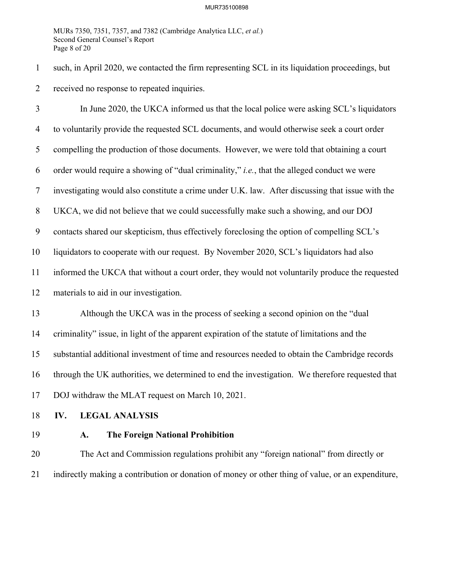MURs 7350, 7351, 7357, and 7382 (Cambridge Analytica LLC, *et al.*) Second General Counsel's Report Page 8 of 20

1 such, in April 2020, we contacted the firm representing SCL in its liquidation proceedings, but 2 received no response to repeated inquiries.

3 In June 2020, the UKCA informed us that the local police were asking SCL's liquidators 4 to voluntarily provide the requested SCL documents, and would otherwise seek a court order 5 compelling the production of those documents. However, we were told that obtaining a court 6 order would require a showing of "dual criminality," *i.e.*, that the alleged conduct we were 7 investigating would also constitute a crime under U.K. law. After discussing that issue with the 8 UKCA, we did not believe that we could successfully make such a showing, and our DOJ 9 contacts shared our skepticism, thus effectively foreclosing the option of compelling SCL's 10 liquidators to cooperate with our request. By November 2020, SCL's liquidators had also 11 informed the UKCA that without a court order, they would not voluntarily produce the requested 12 materials to aid in our investigation. 13 Although the UKCA was in the process of seeking a second opinion on the "dual 14 criminality" issue, in light of the apparent expiration of the statute of limitations and the 15 substantial additional investment of time and resources needed to obtain the Cambridge records 16 through the UK authorities, we determined to end the investigation. We therefore requested that 17 DOJ withdraw the MLAT request on March 10, 2021.

- 18 **IV. LEGAL ANALYSIS**
- 

### 19 **A. The Foreign National Prohibition**

20 The Act and Commission regulations prohibit any "foreign national" from directly or 21 indirectly making a contribution or donation of money or other thing of value, or an expenditure,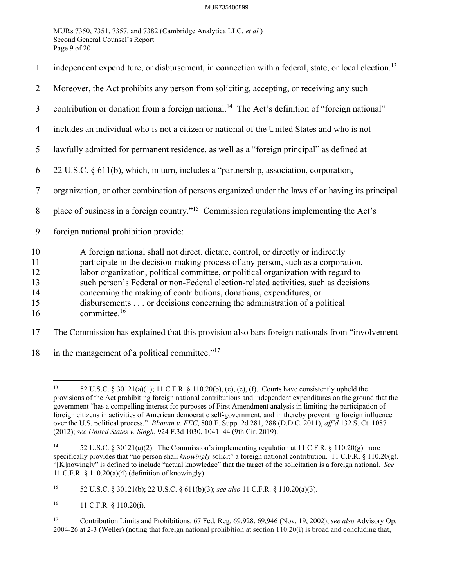MURs 7350, 7351, 7357, and 7382 (Cambridge Analytica LLC, *et al.*) Second General Counsel's Report Page 9 of 20

| $\mathbf{1}$                           | independent expenditure, or disbursement, in connection with a federal, state, or local election. <sup>13</sup>                                                                                                                                                                                                                                                                                                                                                                                                                |
|----------------------------------------|--------------------------------------------------------------------------------------------------------------------------------------------------------------------------------------------------------------------------------------------------------------------------------------------------------------------------------------------------------------------------------------------------------------------------------------------------------------------------------------------------------------------------------|
| 2                                      | Moreover, the Act prohibits any person from soliciting, accepting, or receiving any such                                                                                                                                                                                                                                                                                                                                                                                                                                       |
| 3                                      | contribution or donation from a foreign national. <sup>14</sup> The Act's definition of "foreign national"                                                                                                                                                                                                                                                                                                                                                                                                                     |
| 4                                      | includes an individual who is not a citizen or national of the United States and who is not                                                                                                                                                                                                                                                                                                                                                                                                                                    |
| 5                                      | lawfully admitted for permanent residence, as well as a "foreign principal" as defined at                                                                                                                                                                                                                                                                                                                                                                                                                                      |
| 6                                      | 22 U.S.C. § 611(b), which, in turn, includes a "partnership, association, corporation,                                                                                                                                                                                                                                                                                                                                                                                                                                         |
| $\tau$                                 | organization, or other combination of persons organized under the laws of or having its principal                                                                                                                                                                                                                                                                                                                                                                                                                              |
| 8                                      | place of business in a foreign country." <sup>15</sup> Commission regulations implementing the Act's                                                                                                                                                                                                                                                                                                                                                                                                                           |
| 9                                      | foreign national prohibition provide:                                                                                                                                                                                                                                                                                                                                                                                                                                                                                          |
| 10<br>11<br>12<br>13<br>14<br>15<br>16 | A foreign national shall not direct, dictate, control, or directly or indirectly<br>participate in the decision-making process of any person, such as a corporation,<br>labor organization, political committee, or political organization with regard to<br>such person's Federal or non-Federal election-related activities, such as decisions<br>concerning the making of contributions, donations, expenditures, or<br>disbursements or decisions concerning the administration of a political<br>committee. <sup>16</sup> |

17 The Commission has explained that this provision also bars foreign nationals from "involvement

18 in the management of a political committee." $17$ 

<sup>&</sup>lt;sup>13</sup> 52 U.S.C. § 30121(a)(1); 11 C.F.R. § 110.20(b), (c), (e), (f). Courts have consistently upheld the provisions of the Act prohibiting foreign national contributions and independent expenditures on the ground that the government "has a compelling interest for purposes of First Amendment analysis in limiting the participation of foreign citizens in activities of American democratic self-government, and in thereby preventing foreign influence over the U.S. political process." *Bluman v. FEC*, 800 F. Supp. 2d 281, 288 (D.D.C. 2011), *aff'd* 132 S. Ct. 1087 (2012); *see United States v. Singh*, 924 F.3d 1030, 1041–44 (9th Cir. 2019).

<sup>&</sup>lt;sup>14</sup> 52 U.S.C. § 30121(a)(2). The Commission's implementing regulation at 11 C.F.R. § 110.20(g) more specifically provides that "no person shall *knowingly* solicit" a foreign national contribution. 11 C.F.R. § 110.20(g). "[K]nowingly" is defined to include "actual knowledge" that the target of the solicitation is a foreign national. *See*  11 C.F.R. § 110.20(a)(4) (definition of knowingly).

<sup>15 52</sup> U.S.C. § 30121(b); 22 U.S.C. § 611(b)(3); *see also* 11 C.F.R. § 110.20(a)(3).

<sup>16 11</sup> C.F.R. § 110.20(i).

<sup>17</sup> Contribution Limits and Prohibitions, 67 Fed. Reg. 69,928, 69,946 (Nov. 19, 2002); *see also* Advisory Op. 2004-26 at 2-3 (Weller) (noting that foreign national prohibition at section 110.20(i) is broad and concluding that,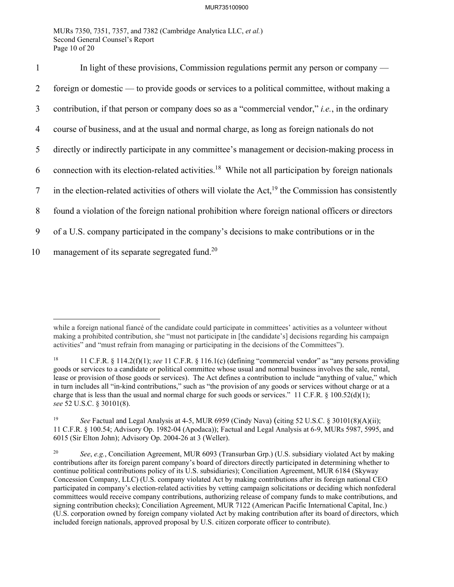MURs 7350, 7351, 7357, and 7382 (Cambridge Analytica LLC, *et al.*) Second General Counsel's Report Page 10 of 20

1 In light of these provisions, Commission regulations permit any person or company — 2 foreign or domestic — to provide goods or services to a political committee, without making a 3 contribution, if that person or company does so as a "commercial vendor," *i.e.*, in the ordinary 4 course of business, and at the usual and normal charge, as long as foreign nationals do not 5 directly or indirectly participate in any committee's management or decision-making process in 6 connection with its election-related activities.<sup>18</sup> While not all participation by foreign nationals  $\frac{1}{2}$  in the election-related activities of others will violate the Act,<sup>19</sup> the Commission has consistently 8 found a violation of the foreign national prohibition where foreign national officers or directors 9 of a U.S. company participated in the company's decisions to make contributions or in the 10 management of its separate segregated fund.<sup>20</sup>

while a foreign national fiance of the candidate could participate in committees' activities as a volunteer without making a prohibited contribution, she "must not participate in [the candidate's] decisions regarding his campaign activities" and "must refrain from managing or participating in the decisions of the Committees").

<sup>18 11</sup> C.F.R. § 114.2(f)(1); *see* 11 C.F.R. § 116.1(c) (defining "commercial vendor" as "any persons providing goods or services to a candidate or political committee whose usual and normal business involves the sale, rental, lease or provision of those goods or services). The Act defines a contribution to include "anything of value," which in turn includes all "in-kind contributions," such as "the provision of any goods or services without charge or at a charge that is less than the usual and normal charge for such goods or services." 11 C.F.R.  $\S$  100.52(d)(1); *see* 52 U.S.C. § 30101(8).

<sup>19</sup> *See* Factual and Legal Analysis at 4-5, MUR 6959 (Cindy Nava) (citing 52 U.S.C. § 30101(8)(A)(ii); 11 C.F.R. § 100.54; Advisory Op. 1982-04 (Apodaca)); Factual and Legal Analysis at 6-9, MURs 5987, 5995, and 6015 (Sir Elton John); Advisory Op. 2004-26 at 3 (Weller).

<sup>20</sup> *See*, *e.g.*, Conciliation Agreement, MUR 6093 (Transurban Grp.) (U.S. subsidiary violated Act by making contributions after its foreign parent company's board of directors directly participated in determining whether to continue political contributions policy of its U.S. subsidiaries); Conciliation Agreement, MUR 6184 (Skyway Concession Company, LLC) (U.S. company violated Act by making contributions after its foreign national CEO participated in company's election-related activities by vetting campaign solicitations or deciding which nonfederal committees would receive company contributions, authorizing release of company funds to make contributions, and signing contribution checks); Conciliation Agreement, MUR 7122 (American Pacific International Capital, Inc.) (U.S. corporation owned by foreign company violated Act by making contribution after its board of directors, which included foreign nationals, approved proposal by U.S. citizen corporate officer to contribute).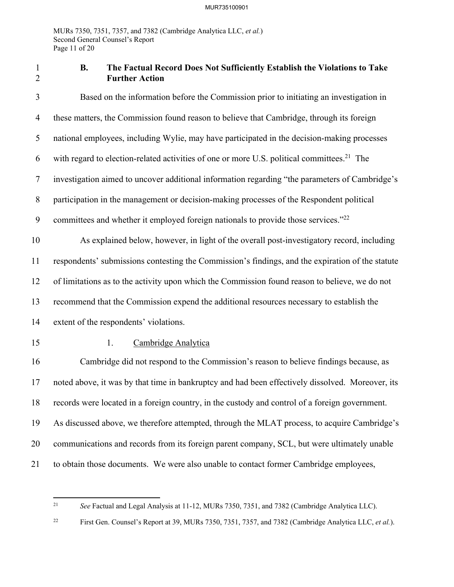# 1 **B. The Factual Record Does Not Sufficiently Establish the Violations to Take**  2 **Further Action**

3 Based on the information before the Commission prior to initiating an investigation in 4 these matters, the Commission found reason to believe that Cambridge, through its foreign 5 national employees, including Wylie, may have participated in the decision-making processes 6 with regard to election-related activities of one or more U.S. political committees.<sup>21</sup> The 7 investigation aimed to uncover additional information regarding "the parameters of Cambridge's 8 participation in the management or decision-making processes of the Respondent political 9 committees and whether it employed foreign nationals to provide those services."<sup>22</sup> 10 As explained below, however, in light of the overall post-investigatory record, including 11 respondents' submissions contesting the Commission's findings, and the expiration of the statute 12 of limitations as to the activity upon which the Commission found reason to believe, we do not 13 recommend that the Commission expend the additional resources necessary to establish the 14 extent of the respondents' violations. 15 1. Cambridge Analytica 16 Cambridge did not respond to the Commission's reason to believe findings because, as 17 noted above, it was by that time in bankruptcy and had been effectively dissolved. Moreover, its 18 records were located in a foreign country, in the custody and control of a foreign government. 19 As discussed above, we therefore attempted, through the MLAT process, to acquire Cambridge's 20 communications and records from its foreign parent company, SCL, but were ultimately unable 21 to obtain those documents. We were also unable to contact former Cambridge employees,

<sup>21</sup> *See* Factual and Legal Analysis at 11-12, MURs 7350, 7351, and 7382 (Cambridge Analytica LLC).

<sup>22</sup> First Gen. Counsel's Report at 39, MURs 7350, 7351, 7357, and 7382 (Cambridge Analytica LLC, *et al.*).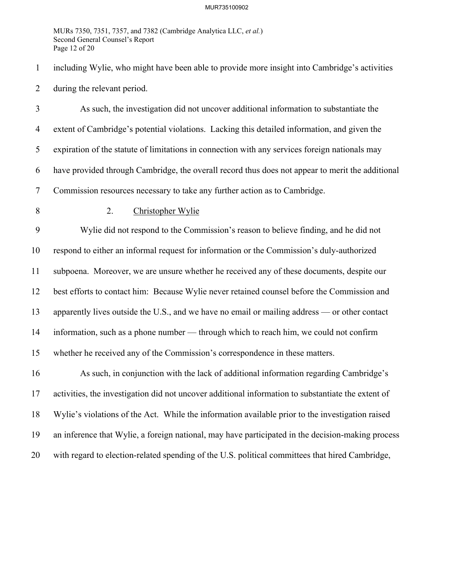MURs 7350, 7351, 7357, and 7382 (Cambridge Analytica LLC, *et al.*) Second General Counsel's Report Page 12 of 20

1 including Wylie, who might have been able to provide more insight into Cambridge's activities 2 during the relevant period.

3 As such, the investigation did not uncover additional information to substantiate the 4 extent of Cambridge's potential violations. Lacking this detailed information, and given the 5 expiration of the statute of limitations in connection with any services foreign nationals may 6 have provided through Cambridge, the overall record thus does not appear to merit the additional 7 Commission resources necessary to take any further action as to Cambridge.

### 8 2. Christopher Wylie

9 Wylie did not respond to the Commission's reason to believe finding, and he did not 10 respond to either an informal request for information or the Commission's duly-authorized 11 subpoena. Moreover, we are unsure whether he received any of these documents, despite our 12 best efforts to contact him: Because Wylie never retained counsel before the Commission and 13 apparently lives outside the U.S., and we have no email or mailing address — or other contact 14 information, such as a phone number — through which to reach him, we could not confirm 15 whether he received any of the Commission's correspondence in these matters.

16 As such, in conjunction with the lack of additional information regarding Cambridge's 17 activities, the investigation did not uncover additional information to substantiate the extent of 18 Wylie's violations of the Act. While the information available prior to the investigation raised 19 an inference that Wylie, a foreign national, may have participated in the decision-making process 20 with regard to election-related spending of the U.S. political committees that hired Cambridge,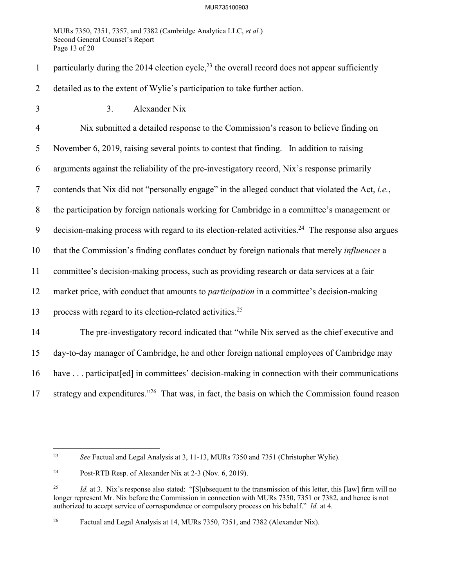MURs 7350, 7351, 7357, and 7382 (Cambridge Analytica LLC, *et al.*) Second General Counsel's Report Page 13 of 20

1 particularly during the 2014 election cycle,<sup>23</sup> the overall record does not appear sufficiently 2 detailed as to the extent of Wylie's participation to take further action.

3 3. Alexander Nix

4 Nix submitted a detailed response to the Commission's reason to believe finding on 5 November 6, 2019, raising several points to contest that finding. In addition to raising 6 arguments against the reliability of the pre-investigatory record, Nix's response primarily 7 contends that Nix did not "personally engage" in the alleged conduct that violated the Act, *i.e.*, 8 the participation by foreign nationals working for Cambridge in a committee's management or 9 decision-making process with regard to its election-related activities.<sup>24</sup> The response also argues 10 that the Commission's finding conflates conduct by foreign nationals that merely *influences* a 11 committee's decision-making process, such as providing research or data services at a fair 12 market price, with conduct that amounts to *participation* in a committee's decision-making 13 process with regard to its election-related activities.<sup>25</sup> 14 The pre-investigatory record indicated that "while Nix served as the chief executive and 15 day-to-day manager of Cambridge, he and other foreign national employees of Cambridge may 16 have . . . participat[ed] in committees' decision-making in connection with their communications 17 strategy and expenditures."<sup>26</sup> That was, in fact, the basis on which the Commission found reason

<sup>23</sup> *See* Factual and Legal Analysis at 3, 11-13, MURs 7350 and 7351 (Christopher Wylie).

<sup>24</sup> Post-RTB Resp. of Alexander Nix at 2-3 (Nov. 6, 2019).

<sup>&</sup>lt;sup>25</sup> *Id.* at 3. Nix's response also stated: "[S]ubsequent to the transmission of this letter, this [law] firm will no longer represent Mr. Nix before the Commission in connection with MURs 7350, 7351 or 7382, and hence is not authorized to accept service of correspondence or compulsory process on his behalf." *Id.* at 4.

<sup>&</sup>lt;sup>26</sup> Factual and Legal Analysis at 14, MURs 7350, 7351, and 7382 (Alexander Nix).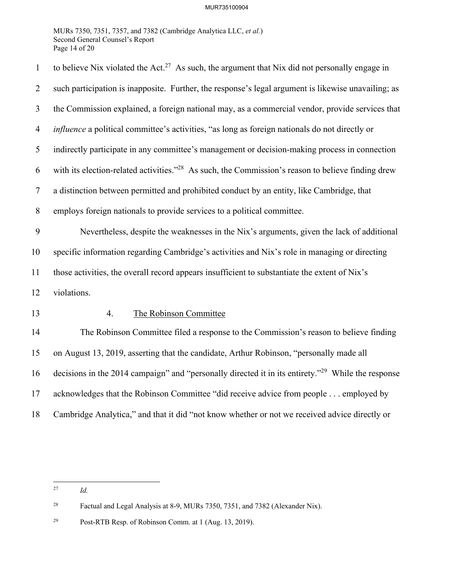MURs 7350, 7351, 7357, and 7382 (Cambridge Analytica LLC, *et al.*) Second General Counsel's Report Page 14 of 20

| $\mathbf{1}$   | to believe Nix violated the Act. <sup>27</sup> As such, the argument that Nix did not personally engage in     |  |  |
|----------------|----------------------------------------------------------------------------------------------------------------|--|--|
| $\overline{2}$ | such participation is inapposite. Further, the response's legal argument is likewise unavailing; as            |  |  |
| 3              | the Commission explained, a foreign national may, as a commercial vendor, provide services that                |  |  |
| $\overline{4}$ | <i>influence</i> a political committee's activities, "as long as foreign nationals do not directly or          |  |  |
| 5              | indirectly participate in any committee's management or decision-making process in connection                  |  |  |
| 6              | with its election-related activities." <sup>28</sup> As such, the Commission's reason to believe finding drew  |  |  |
| $\tau$         | a distinction between permitted and prohibited conduct by an entity, like Cambridge, that                      |  |  |
| 8              | employs foreign nationals to provide services to a political committee.                                        |  |  |
| 9              | Nevertheless, despite the weaknesses in the Nix's arguments, given the lack of additional                      |  |  |
| 10             | specific information regarding Cambridge's activities and Nix's role in managing or directing                  |  |  |
| 11             | those activities, the overall record appears insufficient to substantiate the extent of Nix's                  |  |  |
| 12             | violations.                                                                                                    |  |  |
| 13             | The Robinson Committee<br>4.                                                                                   |  |  |
| 14             | The Robinson Committee filed a response to the Commission's reason to believe finding                          |  |  |
| 15             | on August 13, 2019, asserting that the candidate, Arthur Robinson, "personally made all                        |  |  |
| 16             | decisions in the 2014 campaign" and "personally directed it in its entirety." <sup>29</sup> While the response |  |  |
| 17             | acknowledges that the Robinson Committee "did receive advice from people employed by                           |  |  |
| 18             | Cambridge Analytica," and that it did "not know whether or not we received advice directly or                  |  |  |

<sup>27</sup> *Id.*

<sup>28</sup> Factual and Legal Analysis at 8-9, MURs 7350, 7351, and 7382 (Alexander Nix).

<sup>29</sup> Post-RTB Resp. of Robinson Comm. at 1 (Aug. 13, 2019).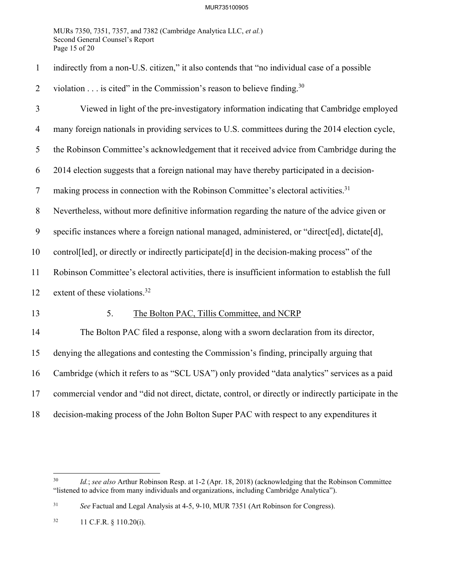MURs 7350, 7351, 7357, and 7382 (Cambridge Analytica LLC, *et al.*) Second General Counsel's Report Page 15 of 20

|  | indirectly from a non-U.S. citizen," it also contends that "no individual case of a possible |  |  |  |  |  |
|--|----------------------------------------------------------------------------------------------|--|--|--|--|--|
|--|----------------------------------------------------------------------------------------------|--|--|--|--|--|

2 violation  $\dots$  is cited" in the Commission's reason to believe finding.<sup>30</sup>

| $\mathfrak{Z}$ | Viewed in light of the pre-investigatory information indicating that Cambridge employed               |  |  |
|----------------|-------------------------------------------------------------------------------------------------------|--|--|
|                |                                                                                                       |  |  |
| 4              | many foreign nationals in providing services to U.S. committees during the 2014 election cycle,       |  |  |
| 5              | the Robinson Committee's acknowledgement that it received advice from Cambridge during the            |  |  |
| 6              | 2014 election suggests that a foreign national may have thereby participated in a decision-           |  |  |
| 7              | making process in connection with the Robinson Committee's electoral activities. <sup>31</sup>        |  |  |
| 8              | Nevertheless, without more definitive information regarding the nature of the advice given or         |  |  |
| 9              | specific instances where a foreign national managed, administered, or "direct[ed], dictate[d],        |  |  |
| 10             | control[led], or directly or indirectly participate[d] in the decision-making process" of the         |  |  |
| 11             | Robinson Committee's electoral activities, there is insufficient information to establish the full    |  |  |
| 12             | extent of these violations. <sup>32</sup>                                                             |  |  |
| 13             | 5.<br>The Bolton PAC, Tillis Committee, and NCRP                                                      |  |  |
| 14             | The Bolton PAC filed a response, along with a sworn declaration from its director,                    |  |  |
| 15             | denying the allegations and contesting the Commission's finding, principally arguing that             |  |  |
| 16             | Cambridge (which it refers to as "SCL USA") only provided "data analytics" services as a paid         |  |  |
| 17             | commercial vendor and "did not direct, dictate, control, or directly or indirectly participate in the |  |  |
| 18             | decision-making process of the John Bolton Super PAC with respect to any expenditures it              |  |  |

<sup>30</sup> *Id.*; *see also* Arthur Robinson Resp. at 1-2 (Apr. 18, 2018) (acknowledging that the Robinson Committee "listened to advice from many individuals and organizations, including Cambridge Analytica").

<sup>31</sup> *See* Factual and Legal Analysis at 4-5, 9-10, MUR 7351 (Art Robinson for Congress).

<sup>32 11</sup> C.F.R. § 110.20(i).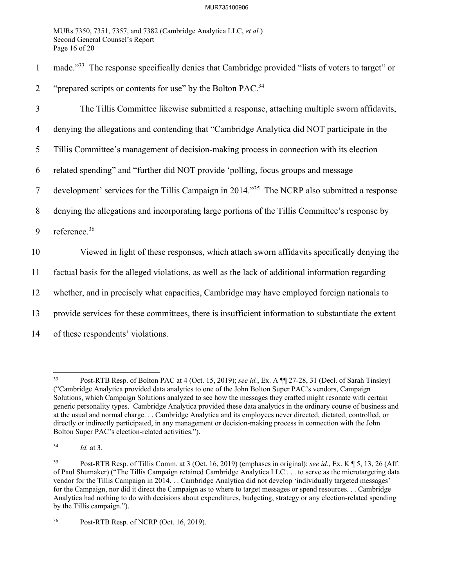MURs 7350, 7351, 7357, and 7382 (Cambridge Analytica LLC, *et al.*) Second General Counsel's Report Page 16 of 20

1 made."<sup>33</sup> The response specifically denies that Cambridge provided "lists of voters to target" or

2 "prepared scripts or contents for use" by the Bolton PAC.<sup>34</sup>

3 The Tillis Committee likewise submitted a response, attaching multiple sworn affidavits, 4 denying the allegations and contending that "Cambridge Analytica did NOT participate in the 5 Tillis Committee's management of decision-making process in connection with its election 6 related spending" and "further did NOT provide 'polling, focus groups and message 7 development' services for the Tillis Campaign in 2014."<sup>35</sup> The NCRP also submitted a response 8 denying the allegations and incorporating large portions of the Tillis Committee's response by 9 reference.<sup>36</sup> 10 Viewed in light of these responses, which attach sworn affidavits specifically denying the 11 factual basis for the alleged violations, as well as the lack of additional information regarding 12 whether, and in precisely what capacities, Cambridge may have employed foreign nationals to 13 provide services for these committees, there is insufficient information to substantiate the extent 14 of these respondents' violations.

<sup>33</sup> Post-RTB Resp. of Bolton PAC at 4 (Oct. 15, 2019); *see id.*, Ex. A ¶¶ 27-28, 31 (Decl. of Sarah Tinsley) ("Cambridge Analytica provided data analytics to one of the John Bolton Super PAC's vendors, Campaign Solutions, which Campaign Solutions analyzed to see how the messages they crafted might resonate with certain generic personality types. Cambridge Analytica provided these data analytics in the ordinary course of business and at the usual and normal charge. . . Cambridge Analytica and its employees never directed, dictated, controlled, or directly or indirectly participated, in any management or decision-making process in connection with the John Bolton Super PAC's election-related activities.").

<sup>34</sup> *Id.* at 3.

<sup>35</sup> Post-RTB Resp. of Tillis Comm. at 3 (Oct. 16, 2019) (emphases in original); *see id.*, Ex. K ¶ 5, 13, 26 (Aff. of Paul Shumaker) ("The Tillis Campaign retained Cambridge Analytica LLC . . . to serve as the microtargeting data vendor for the Tillis Campaign in 2014. . . Cambridge Analytica did not develop 'individually targeted messages' for the Campaign, nor did it direct the Campaign as to where to target messages or spend resources. . . Cambridge Analytica had nothing to do with decisions about expenditures, budgeting, strategy or any election-related spending by the Tillis campaign.").

<sup>36</sup> Post-RTB Resp. of NCRP (Oct. 16, 2019).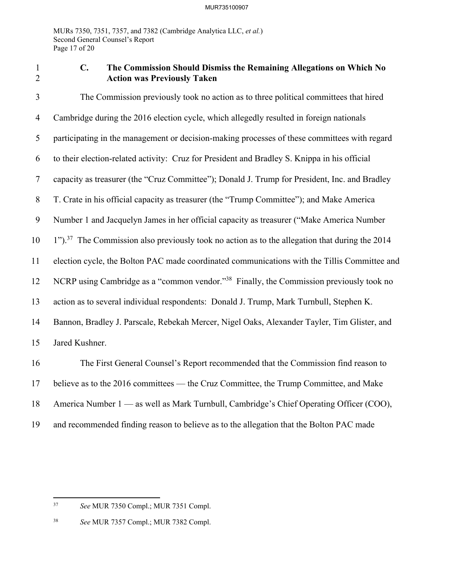MURs 7350, 7351, 7357, and 7382 (Cambridge Analytica LLC, *et al.*) Second General Counsel's Report Page 17 of 20

# 1 **C. The Commission Should Dismiss the Remaining Allegations on Which No**  2 **Action was Previously Taken**

3 The Commission previously took no action as to three political committees that hired 4 Cambridge during the 2016 election cycle, which allegedly resulted in foreign nationals 5 participating in the management or decision-making processes of these committees with regard 6 to their election-related activity: Cruz for President and Bradley S. Knippa in his official 7 capacity as treasurer (the "Cruz Committee"); Donald J. Trump for President, Inc. and Bradley 8 T. Crate in his official capacity as treasurer (the "Trump Committee"); and Make America 9 Number 1 and Jacquelyn James in her official capacity as treasurer ("Make America Number  $10 \quad 1"$ ).<sup>37</sup> The Commission also previously took no action as to the allegation that during the 2014 11 election cycle, the Bolton PAC made coordinated communications with the Tillis Committee and 12 NCRP using Cambridge as a "common vendor."<sup>38</sup> Finally, the Commission previously took no 13 action as to several individual respondents: Donald J. Trump, Mark Turnbull, Stephen K. 14 Bannon, Bradley J. Parscale, Rebekah Mercer, Nigel Oaks, Alexander Tayler, Tim Glister, and 15 Jared Kushner. 16 The First General Counsel's Report recommended that the Commission find reason to 17 believe as to the 2016 committees — the Cruz Committee, the Trump Committee, and Make 18 America Number 1 — as well as Mark Turnbull, Cambridge's Chief Operating Officer (COO), 19 and recommended finding reason to believe as to the allegation that the Bolton PAC made

<sup>37</sup> *See* MUR 7350 Compl.; MUR 7351 Compl.

<sup>38</sup> *See* MUR 7357 Compl.; MUR 7382 Compl.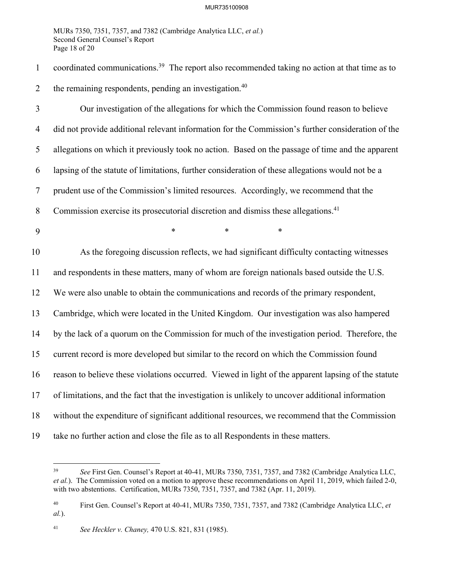MURs 7350, 7351, 7357, and 7382 (Cambridge Analytica LLC, *et al.*) Second General Counsel's Report Page 18 of 20

1 coordinated communications.<sup>39</sup> The report also recommended taking no action at that time as to 2 the remaining respondents, pending an investigation. $40$ 

3 Our investigation of the allegations for which the Commission found reason to believe 4 did not provide additional relevant information for the Commission's further consideration of the 5 allegations on which it previously took no action. Based on the passage of time and the apparent 6 lapsing of the statute of limitations, further consideration of these allegations would not be a 7 prudent use of the Commission's limited resources. Accordingly, we recommend that the 8 Commission exercise its prosecutorial discretion and dismiss these allegations.<sup>41</sup> 9 \* \* \* \* \* 10 As the foregoing discussion reflects, we had significant difficulty contacting witnesses

11 and respondents in these matters, many of whom are foreign nationals based outside the U.S.

12 We were also unable to obtain the communications and records of the primary respondent,

13 Cambridge, which were located in the United Kingdom. Our investigation was also hampered

14 by the lack of a quorum on the Commission for much of the investigation period. Therefore, the

15 current record is more developed but similar to the record on which the Commission found

16 reason to believe these violations occurred. Viewed in light of the apparent lapsing of the statute

17 of limitations, and the fact that the investigation is unlikely to uncover additional information

18 without the expenditure of significant additional resources, we recommend that the Commission

19 take no further action and close the file as to all Respondents in these matters.

<sup>39</sup> *See* First Gen. Counsel's Report at 40-41, MURs 7350, 7351, 7357, and 7382 (Cambridge Analytica LLC, *et al.*). The Commission voted on a motion to approve these recommendations on April 11, 2019, which failed 2-0, with two abstentions. Certification, MURs 7350, 7351, 7357, and 7382 (Apr. 11, 2019).

<sup>40</sup> First Gen. Counsel's Report at 40-41, MURs 7350, 7351, 7357, and 7382 (Cambridge Analytica LLC, *et al.*).

<sup>41</sup> *See Heckler v. Chaney,* 470 U.S. 821, 831 (1985).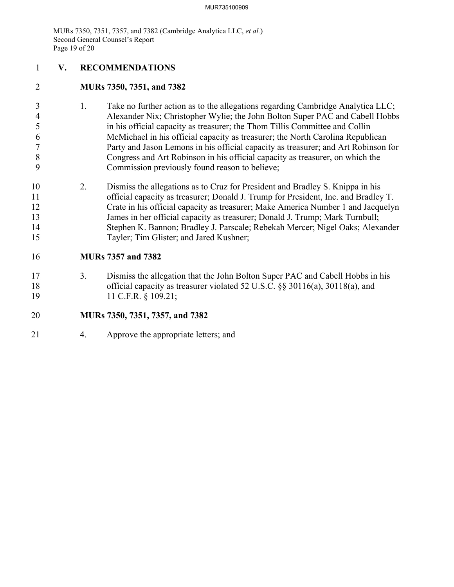MURs 7350, 7351, 7357, and 7382 (Cambridge Analytica LLC, *et al.*) Second General Counsel's Report Page 19 of 20

- 1 **V. RECOMMENDATIONS**
- 2 **MURs 7350, 7351, and 7382**
- 3 1. Take no further action as to the allegations regarding Cambridge Analytica LLC; 4 Alexander Nix; Christopher Wylie; the John Bolton Super PAC and Cabell Hobbs 5 in his official capacity as treasurer; the Thom Tillis Committee and Collin 6 McMichael in his official capacity as treasurer; the North Carolina Republican 7 Party and Jason Lemons in his official capacity as treasurer; and Art Robinson for 8 Congress and Art Robinson in his official capacity as treasurer, on which the 9 Commission previously found reason to believe;
- 10 2. Dismiss the allegations as to Cruz for President and Bradley S. Knippa in his 11 official capacity as treasurer; Donald J. Trump for President, Inc. and Bradley T. 12 Crate in his official capacity as treasurer; Make America Number 1 and Jacquelyn 13 James in her official capacity as treasurer; Donald J. Trump; Mark Turnbull; 14 Stephen K. Bannon; Bradley J. Parscale; Rebekah Mercer; Nigel Oaks; Alexander 15 Tayler; Tim Glister; and Jared Kushner;

# 16 **MURs 7357 and 7382**

17 3. Dismiss the allegation that the John Bolton Super PAC and Cabell Hobbs in his 18 official capacity as treasurer violated 52 U.S.C. §§ 30116(a), 30118(a), and 19 11 C.F.R. § 109.21;

## 20 **MURs 7350, 7351, 7357, and 7382**

21 4. Approve the appropriate letters; and